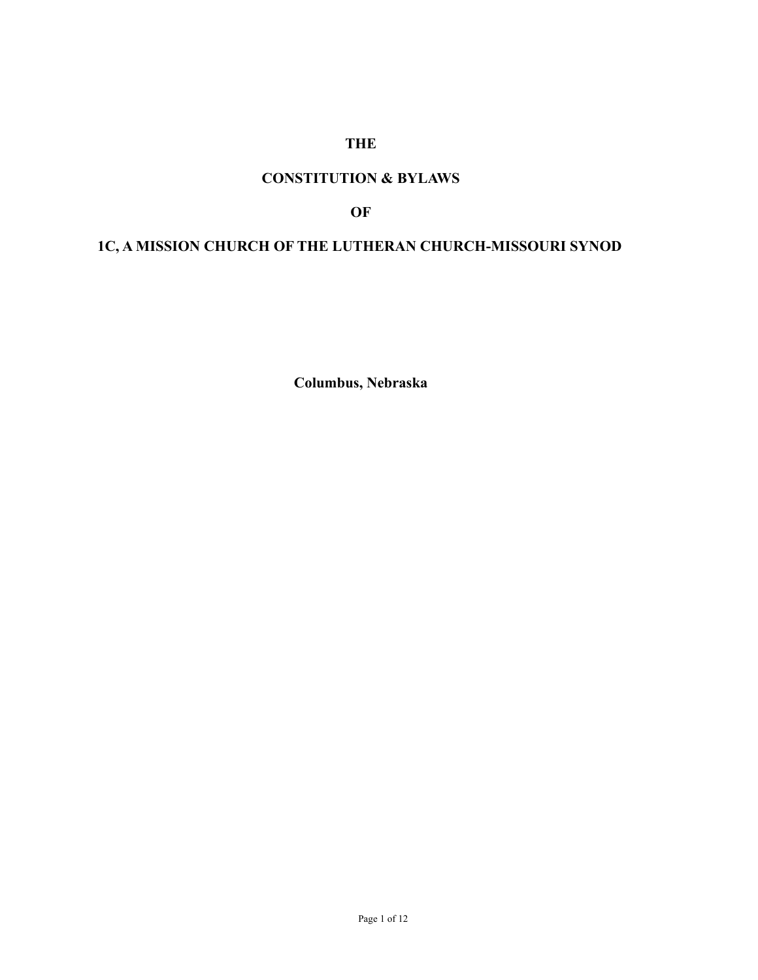### **THE**

# **CONSTITUTION & BYLAWS**

#### **OF**

# **1C, A MISSION CHURCH OF THE LUTHERAN CHURCH-MISSOURI SYNOD**

**Columbus, Nebraska**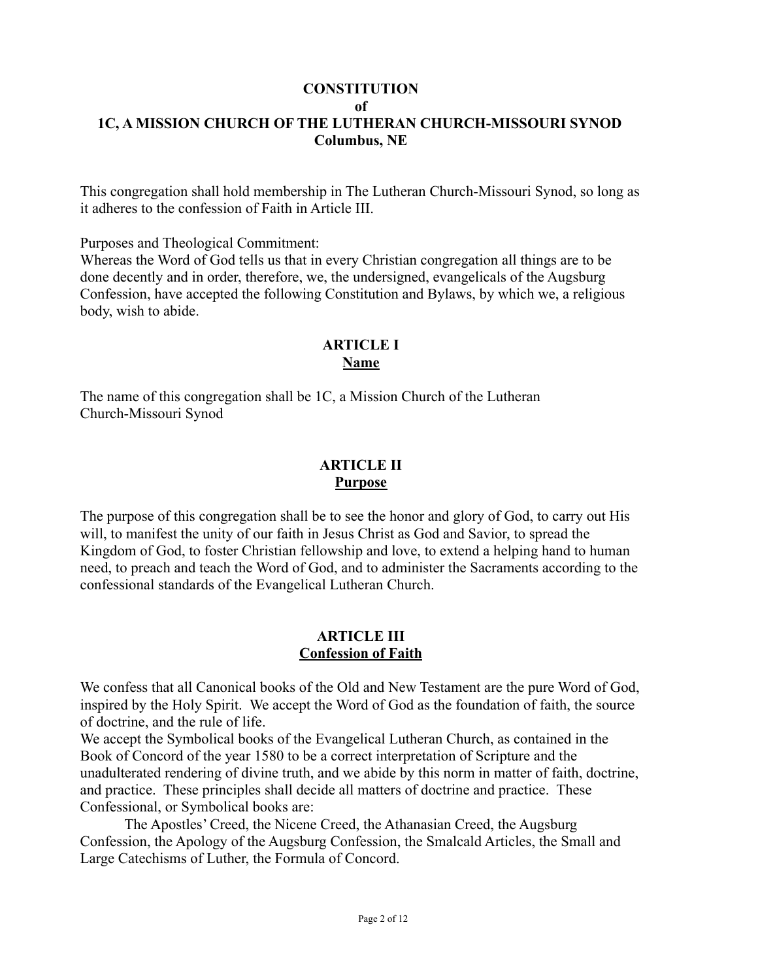#### **CONSTITUTION**

**of**

# **1C, A MISSION CHURCH OF THE LUTHERAN CHURCH-MISSOURI SYNOD Columbus, NE**

This congregation shall hold membership in The Lutheran Church-Missouri Synod, so long as it adheres to the confession of Faith in Article III.

Purposes and Theological Commitment:

Whereas the Word of God tells us that in every Christian congregation all things are to be done decently and in order, therefore, we, the undersigned, evangelicals of the Augsburg Confession, have accepted the following Constitution and Bylaws, by which we, a religious body, wish to abide.

#### **ARTICLE I Name**

The name of this congregation shall be 1C, a Mission Church of the Lutheran Church-Missouri Synod

## **ARTICLE II Purpose**

The purpose of this congregation shall be to see the honor and glory of God, to carry out His will, to manifest the unity of our faith in Jesus Christ as God and Savior, to spread the Kingdom of God, to foster Christian fellowship and love, to extend a helping hand to human need, to preach and teach the Word of God, and to administer the Sacraments according to the confessional standards of the Evangelical Lutheran Church.

### **ARTICLE III Confession of Faith**

We confess that all Canonical books of the Old and New Testament are the pure Word of God, inspired by the Holy Spirit. We accept the Word of God as the foundation of faith, the source of doctrine, and the rule of life.

We accept the Symbolical books of the Evangelical Lutheran Church, as contained in the Book of Concord of the year 1580 to be a correct interpretation of Scripture and the unadulterated rendering of divine truth, and we abide by this norm in matter of faith, doctrine, and practice. These principles shall decide all matters of doctrine and practice. These Confessional, or Symbolical books are:

The Apostles' Creed, the Nicene Creed, the Athanasian Creed, the Augsburg Confession, the Apology of the Augsburg Confession, the Smalcald Articles, the Small and Large Catechisms of Luther, the Formula of Concord.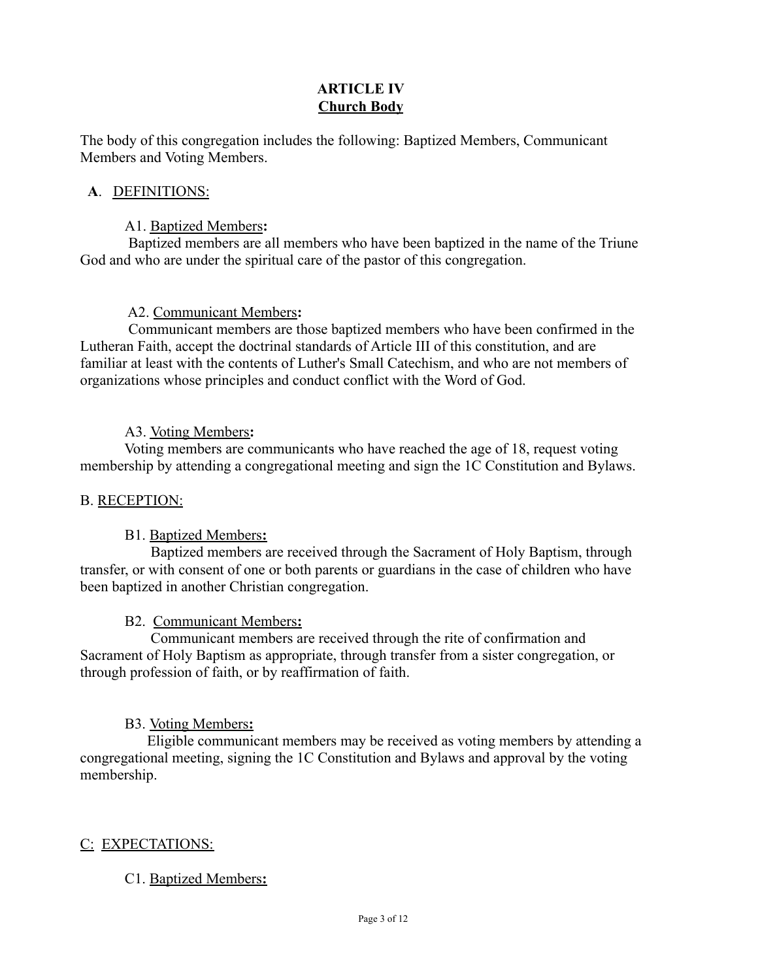# **ARTICLE IV Church Body**

The body of this congregation includes the following: Baptized Members, Communicant Members and Voting Members.

### **A**. DEFINITIONS:

### A1. Baptized Members**:**

 Baptized members are all members who have been baptized in the name of the Triune God and who are under the spiritual care of the pastor of this congregation.

## A2. Communicant Members**:**

 Communicant members are those baptized members who have been confirmed in the Lutheran Faith, accept the doctrinal standards of Article III of this constitution, and are familiar at least with the contents of Luther's Small Catechism, and who are not members of organizations whose principles and conduct conflict with the Word of God.

## A3. Voting Members**:**

Voting members are communicants who have reached the age of 18, request voting membership by attending a congregational meeting and sign the 1C Constitution and Bylaws.

# B. RECEPTION:

# B1. Baptized Members**:**

 Baptized members are received through the Sacrament of Holy Baptism, through transfer, or with consent of one or both parents or guardians in the case of children who have been baptized in another Christian congregation.

### B2. Communicant Members**:**

 Communicant members are received through the rite of confirmation and Sacrament of Holy Baptism as appropriate, through transfer from a sister congregation, or through profession of faith, or by reaffirmation of faith.

# B3. Voting Members**:**

Eligible communicant members may be received as voting members by attending a congregational meeting, signing the 1C Constitution and Bylaws and approval by the voting membership.

# C: EXPECTATIONS:

### C1. Baptized Members**:**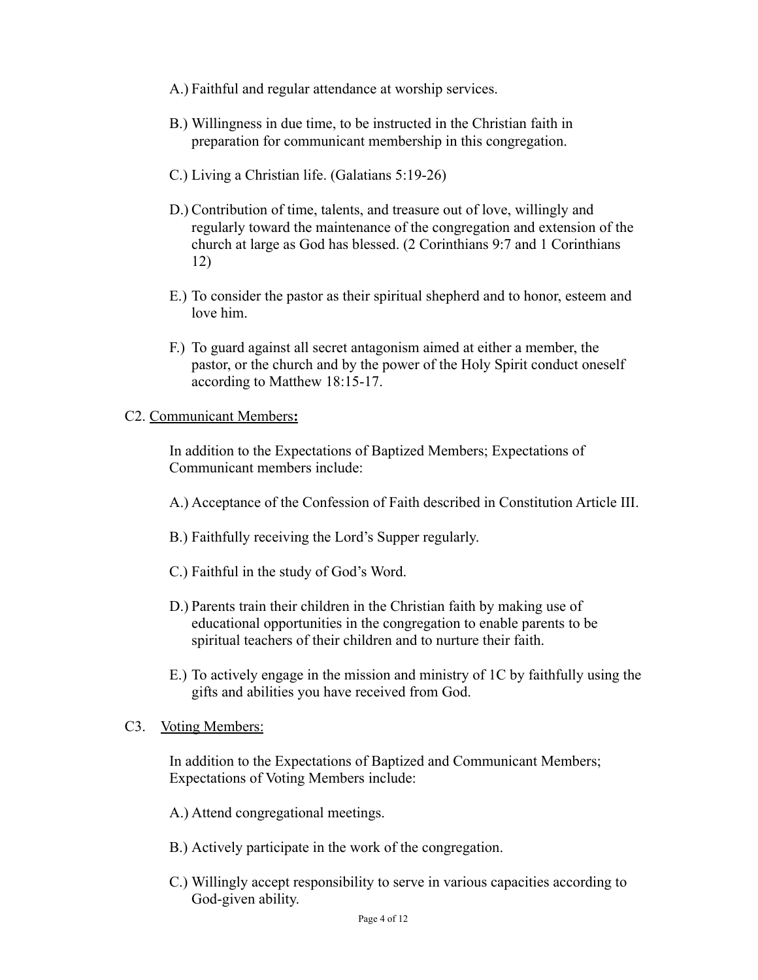- A.) Faithful and regular attendance at worship services.
- B.) Willingness in due time, to be instructed in the Christian faith in preparation for communicant membership in this congregation.
- C.) Living a Christian life. (Galatians 5:19-26)
- D.) Contribution of time, talents, and treasure out of love, willingly and regularly toward the maintenance of the congregation and extension of the church at large as God has blessed. (2 Corinthians 9:7 and 1 Corinthians 12)
- E.) To consider the pastor as their spiritual shepherd and to honor, esteem and love him.
- F.) To guard against all secret antagonism aimed at either a member, the pastor, or the church and by the power of the Holy Spirit conduct oneself according to Matthew 18:15-17.

#### C2. Communicant Members**:**

In addition to the Expectations of Baptized Members; Expectations of Communicant members include:

- A.) Acceptance of the Confession of Faith described in Constitution Article III.
- B.) Faithfully receiving the Lord's Supper regularly.
- C.) Faithful in the study of God's Word.
- D.) Parents train their children in the Christian faith by making use of educational opportunities in the congregation to enable parents to be spiritual teachers of their children and to nurture their faith.
- E.) To actively engage in the mission and ministry of 1C by faithfully using the gifts and abilities you have received from God.

#### C3. Voting Members:

In addition to the Expectations of Baptized and Communicant Members; Expectations of Voting Members include:

A.) Attend congregational meetings.

- B.) Actively participate in the work of the congregation.
- C.) Willingly accept responsibility to serve in various capacities according to God-given ability.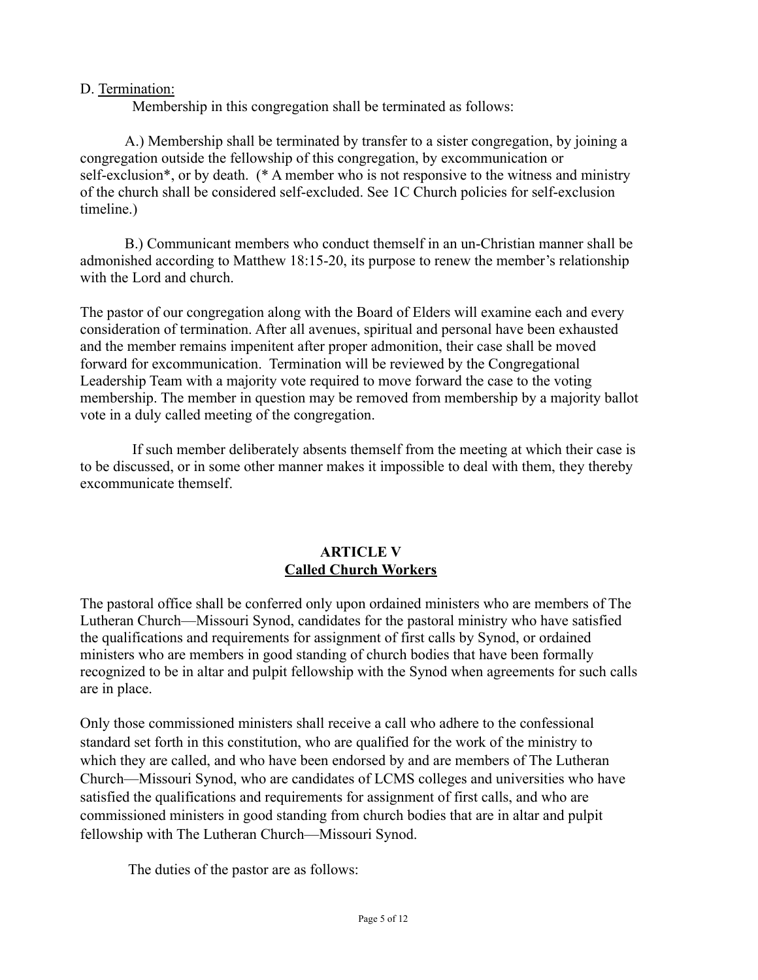#### D. Termination:

Membership in this congregation shall be terminated as follows:

A.) Membership shall be terminated by transfer to a sister congregation, by joining a congregation outside the fellowship of this congregation, by excommunication or self-exclusion\*, or by death. (\* A member who is not responsive to the witness and ministry of the church shall be considered self-excluded. See 1C Church policies for self-exclusion timeline.)

B.) Communicant members who conduct themself in an un-Christian manner shall be admonished according to Matthew 18:15-20, its purpose to renew the member's relationship with the Lord and church.

The pastor of our congregation along with the Board of Elders will examine each and every consideration of termination. After all avenues, spiritual and personal have been exhausted and the member remains impenitent after proper admonition, their case shall be moved forward for excommunication. Termination will be reviewed by the Congregational Leadership Team with a majority vote required to move forward the case to the voting membership. The member in question may be removed from membership by a majority ballot vote in a duly called meeting of the congregation.

 If such member deliberately absents themself from the meeting at which their case is to be discussed, or in some other manner makes it impossible to deal with them, they thereby excommunicate themself.

### **ARTICLE V Called Church Workers**

The pastoral office shall be conferred only upon ordained ministers who are members of The Lutheran Church—Missouri Synod, candidates for the pastoral ministry who have satisfied the qualifications and requirements for assignment of first calls by Synod, or ordained ministers who are members in good standing of church bodies that have been formally recognized to be in altar and pulpit fellowship with the Synod when agreements for such calls are in place.

Only those commissioned ministers shall receive a call who adhere to the confessional standard set forth in this constitution, who are qualified for the work of the ministry to which they are called, and who have been endorsed by and are members of The Lutheran Church—Missouri Synod, who are candidates of LCMS colleges and universities who have satisfied the qualifications and requirements for assignment of first calls, and who are commissioned ministers in good standing from church bodies that are in altar and pulpit fellowship with The Lutheran Church—Missouri Synod.

The duties of the pastor are as follows: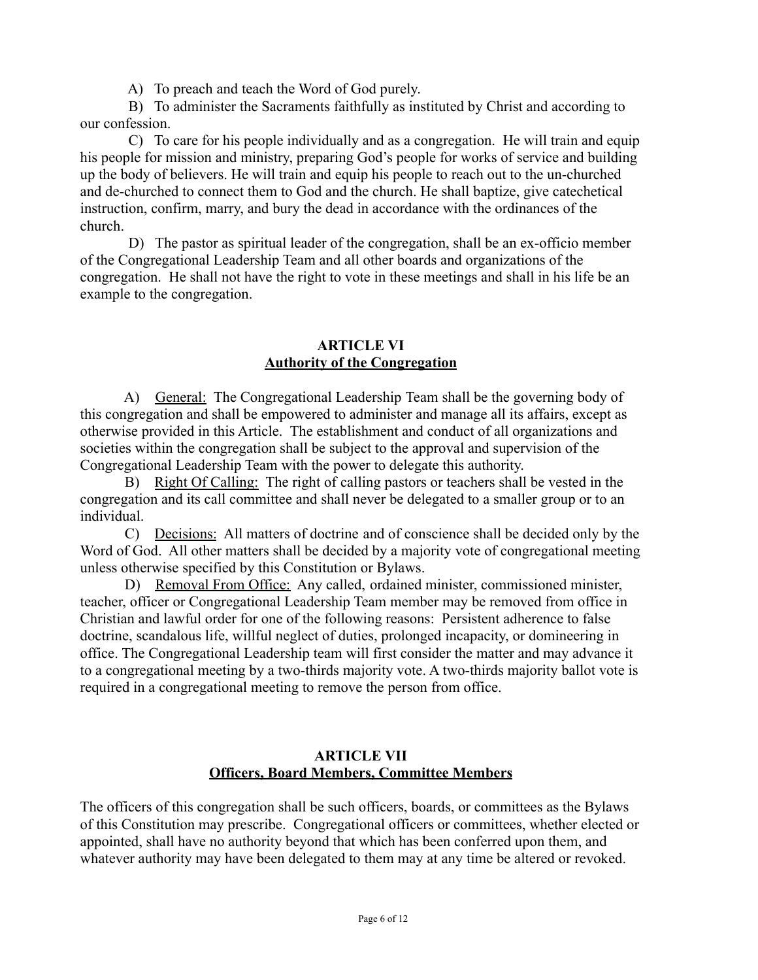A) To preach and teach the Word of God purely.

 B) To administer the Sacraments faithfully as instituted by Christ and according to our confession.

 C) To care for his people individually and as a congregation. He will train and equip his people for mission and ministry, preparing God's people for works of service and building up the body of believers. He will train and equip his people to reach out to the un-churched and de-churched to connect them to God and the church. He shall baptize, give catechetical instruction, confirm, marry, and bury the dead in accordance with the ordinances of the church.

 D) The pastor as spiritual leader of the congregation, shall be an ex-officio member of the Congregational Leadership Team and all other boards and organizations of the congregation. He shall not have the right to vote in these meetings and shall in his life be an example to the congregation.

#### **ARTICLE VI Authority of the Congregation**

A) General: The Congregational Leadership Team shall be the governing body of this congregation and shall be empowered to administer and manage all its affairs, except as otherwise provided in this Article. The establishment and conduct of all organizations and societies within the congregation shall be subject to the approval and supervision of the Congregational Leadership Team with the power to delegate this authority.

 B) Right Of Calling: The right of calling pastors or teachers shall be vested in the congregation and its call committee and shall never be delegated to a smaller group or to an individual.

 C) Decisions: All matters of doctrine and of conscience shall be decided only by the Word of God. All other matters shall be decided by a majority vote of congregational meeting unless otherwise specified by this Constitution or Bylaws.

D) Removal From Office: Any called, ordained minister, commissioned minister, teacher, officer or Congregational Leadership Team member may be removed from office in Christian and lawful order for one of the following reasons: Persistent adherence to false doctrine, scandalous life, willful neglect of duties, prolonged incapacity, or domineering in office. The Congregational Leadership team will first consider the matter and may advance it to a congregational meeting by a two-thirds majority vote. A two-thirds majority ballot vote is required in a congregational meeting to remove the person from office.

### **ARTICLE VII Officers, Board Members, Committee Members**

The officers of this congregation shall be such officers, boards, or committees as the Bylaws of this Constitution may prescribe. Congregational officers or committees, whether elected or appointed, shall have no authority beyond that which has been conferred upon them, and whatever authority may have been delegated to them may at any time be altered or revoked.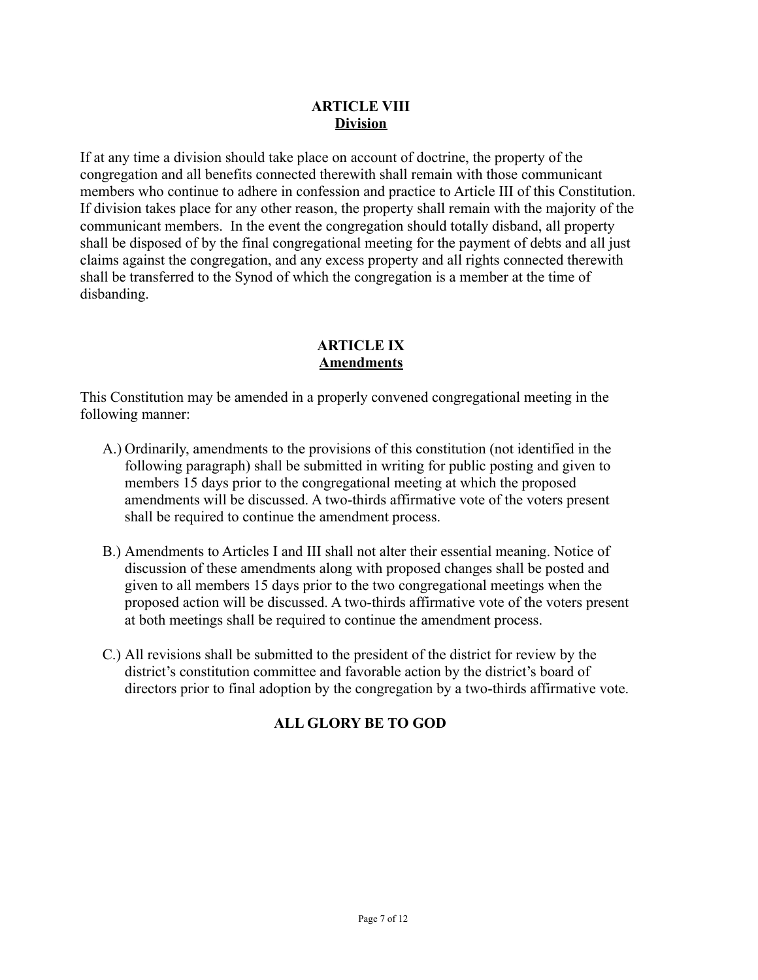### **ARTICLE VIII Division**

If at any time a division should take place on account of doctrine, the property of the congregation and all benefits connected therewith shall remain with those communicant members who continue to adhere in confession and practice to Article III of this Constitution. If division takes place for any other reason, the property shall remain with the majority of the communicant members. In the event the congregation should totally disband, all property shall be disposed of by the final congregational meeting for the payment of debts and all just claims against the congregation, and any excess property and all rights connected therewith shall be transferred to the Synod of which the congregation is a member at the time of disbanding.

### **ARTICLE IX Amendments**

This Constitution may be amended in a properly convened congregational meeting in the following manner:

- A.) Ordinarily, amendments to the provisions of this constitution (not identified in the following paragraph) shall be submitted in writing for public posting and given to members 15 days prior to the congregational meeting at which the proposed amendments will be discussed. A two-thirds affirmative vote of the voters present shall be required to continue the amendment process.
- B.) Amendments to Articles I and III shall not alter their essential meaning. Notice of discussion of these amendments along with proposed changes shall be posted and given to all members 15 days prior to the two congregational meetings when the proposed action will be discussed. A two-thirds affirmative vote of the voters present at both meetings shall be required to continue the amendment process.
- C.) All revisions shall be submitted to the president of the district for review by the district's constitution committee and favorable action by the district's board of directors prior to final adoption by the congregation by a two-thirds affirmative vote.

# **ALL GLORY BE TO GOD**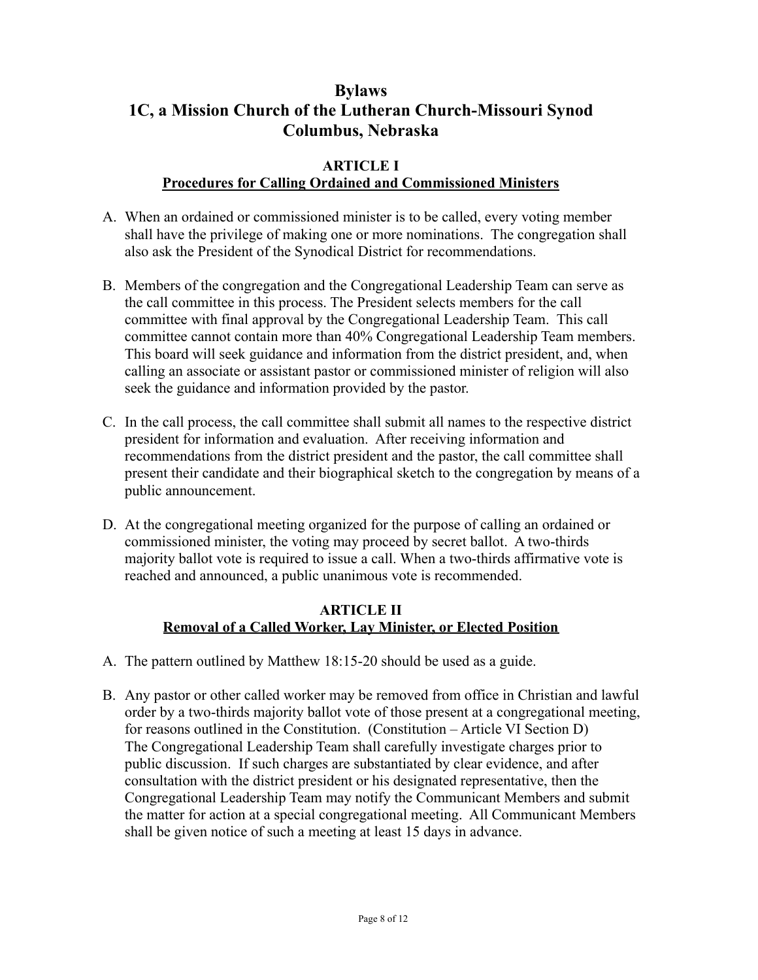# **Bylaws 1C, a Mission Church of the Lutheran Church-Missouri Synod Columbus, Nebraska**

#### **ARTICLE I**

### **Procedures for Calling Ordained and Commissioned Ministers**

- A. When an ordained or commissioned minister is to be called, every voting member shall have the privilege of making one or more nominations. The congregation shall also ask the President of the Synodical District for recommendations.
- B. Members of the congregation and the Congregational Leadership Team can serve as the call committee in this process. The President selects members for the call committee with final approval by the Congregational Leadership Team. This call committee cannot contain more than 40% Congregational Leadership Team members. This board will seek guidance and information from the district president, and, when calling an associate or assistant pastor or commissioned minister of religion will also seek the guidance and information provided by the pastor.
- C. In the call process, the call committee shall submit all names to the respective district president for information and evaluation. After receiving information and recommendations from the district president and the pastor, the call committee shall present their candidate and their biographical sketch to the congregation by means of a public announcement.
- D. At the congregational meeting organized for the purpose of calling an ordained or commissioned minister, the voting may proceed by secret ballot. A two-thirds majority ballot vote is required to issue a call. When a two-thirds affirmative vote is reached and announced, a public unanimous vote is recommended.

### **ARTICLE II Removal of a Called Worker, Lay Minister, or Elected Position**

- A. The pattern outlined by Matthew 18:15-20 should be used as a guide.
- B. Any pastor or other called worker may be removed from office in Christian and lawful order by a two-thirds majority ballot vote of those present at a congregational meeting, for reasons outlined in the Constitution. (Constitution – Article VI Section D) The Congregational Leadership Team shall carefully investigate charges prior to public discussion. If such charges are substantiated by clear evidence, and after consultation with the district president or his designated representative, then the Congregational Leadership Team may notify the Communicant Members and submit the matter for action at a special congregational meeting. All Communicant Members shall be given notice of such a meeting at least 15 days in advance.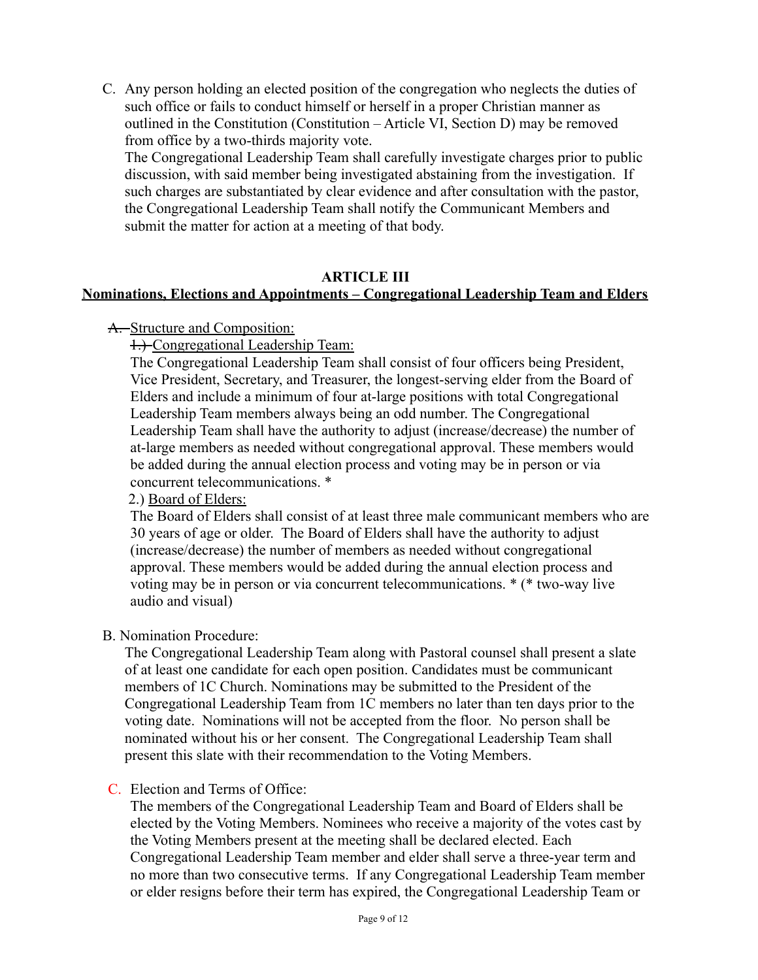C. Any person holding an elected position of the congregation who neglects the duties of such office or fails to conduct himself or herself in a proper Christian manner as outlined in the Constitution (Constitution – Article VI, Section D) may be removed from office by a two-thirds majority vote.

The Congregational Leadership Team shall carefully investigate charges prior to public discussion, with said member being investigated abstaining from the investigation. If such charges are substantiated by clear evidence and after consultation with the pastor, the Congregational Leadership Team shall notify the Communicant Members and submit the matter for action at a meeting of that body.

#### **ARTICLE III**

## **Nominations, Elections and Appointments – Congregational Leadership Team and Elders**

#### A. Structure and Composition:

1.) Congregational Leadership Team:

The Congregational Leadership Team shall consist of four officers being President, Vice President, Secretary, and Treasurer, the longest-serving elder from the Board of Elders and include a minimum of four at-large positions with total Congregational Leadership Team members always being an odd number. The Congregational Leadership Team shall have the authority to adjust (increase/decrease) the number of at-large members as needed without congregational approval. These members would be added during the annual election process and voting may be in person or via concurrent telecommunications. \*

#### 2.) Board of Elders:

The Board of Elders shall consist of at least three male communicant members who are 30 years of age or older. The Board of Elders shall have the authority to adjust (increase/decrease) the number of members as needed without congregational approval. These members would be added during the annual election process and voting may be in person or via concurrent telecommunications. \* (\* two-way live audio and visual)

#### B. Nomination Procedure:

The Congregational Leadership Team along with Pastoral counsel shall present a slate of at least one candidate for each open position. Candidates must be communicant members of 1C Church. Nominations may be submitted to the President of the Congregational Leadership Team from 1C members no later than ten days prior to the voting date. Nominations will not be accepted from the floor. No person shall be nominated without his or her consent. The Congregational Leadership Team shall present this slate with their recommendation to the Voting Members.

#### C. Election and Terms of Office:

The members of the Congregational Leadership Team and Board of Elders shall be elected by the Voting Members. Nominees who receive a majority of the votes cast by the Voting Members present at the meeting shall be declared elected. Each Congregational Leadership Team member and elder shall serve a three-year term and no more than two consecutive terms. If any Congregational Leadership Team member or elder resigns before their term has expired, the Congregational Leadership Team or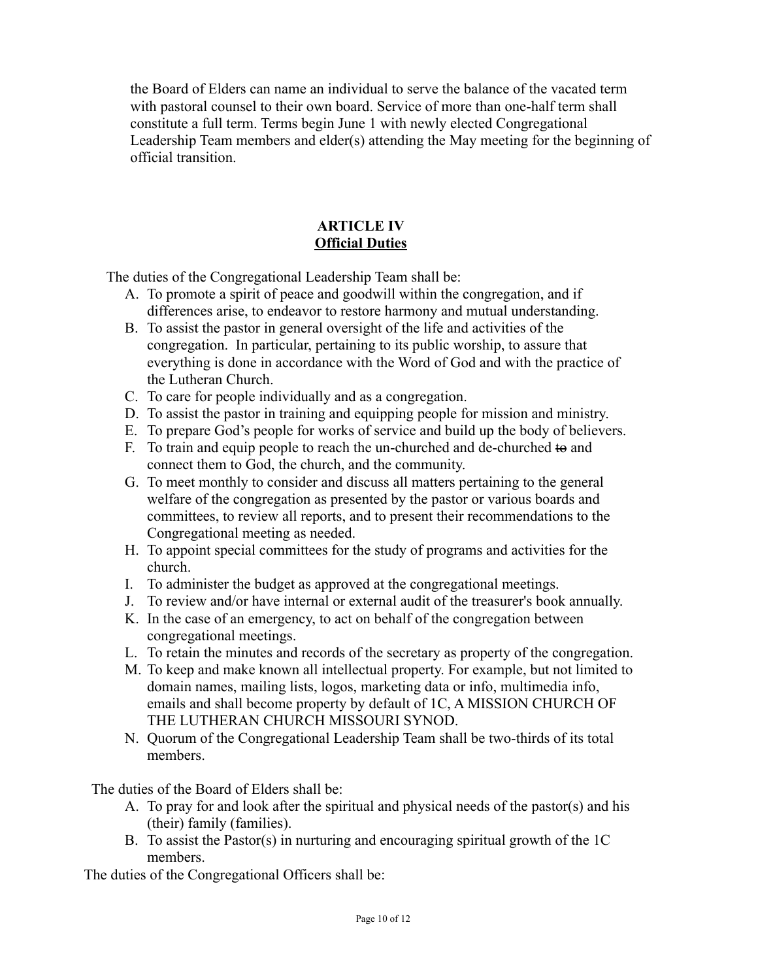the Board of Elders can name an individual to serve the balance of the vacated term with pastoral counsel to their own board. Service of more than one-half term shall constitute a full term. Terms begin June 1 with newly elected Congregational Leadership Team members and elder(s) attending the May meeting for the beginning of official transition.

### **ARTICLE IV Official Duties**

The duties of the Congregational Leadership Team shall be:

- A. To promote a spirit of peace and goodwill within the congregation, and if differences arise, to endeavor to restore harmony and mutual understanding.
- B. To assist the pastor in general oversight of the life and activities of the congregation. In particular, pertaining to its public worship, to assure that everything is done in accordance with the Word of God and with the practice of the Lutheran Church.
- C. To care for people individually and as a congregation.
- D. To assist the pastor in training and equipping people for mission and ministry.
- E. To prepare God's people for works of service and build up the body of believers.
- F. To train and equip people to reach the un-churched and de-churched to and connect them to God, the church, and the community.
- G. To meet monthly to consider and discuss all matters pertaining to the general welfare of the congregation as presented by the pastor or various boards and committees, to review all reports, and to present their recommendations to the Congregational meeting as needed.
- H. To appoint special committees for the study of programs and activities for the church.
- I. To administer the budget as approved at the congregational meetings.
- J. To review and/or have internal or external audit of the treasurer's book annually.
- K. In the case of an emergency, to act on behalf of the congregation between congregational meetings.
- L. To retain the minutes and records of the secretary as property of the congregation.
- M. To keep and make known all intellectual property. For example, but not limited to domain names, mailing lists, logos, marketing data or info, multimedia info, emails and shall become property by default of 1C, A MISSION CHURCH OF THE LUTHERAN CHURCH MISSOURI SYNOD.
- N. Quorum of the Congregational Leadership Team shall be two-thirds of its total members.

The duties of the Board of Elders shall be:

- A. To pray for and look after the spiritual and physical needs of the pastor(s) and his (their) family (families).
- B. To assist the Pastor(s) in nurturing and encouraging spiritual growth of the 1C members.

The duties of the Congregational Officers shall be: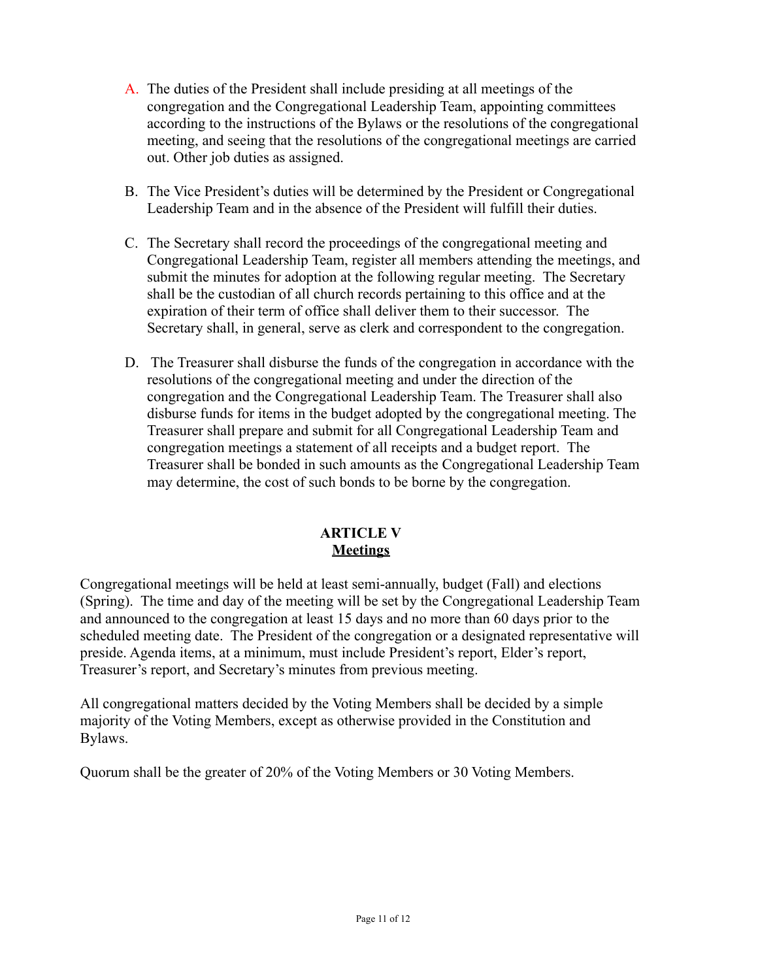- A. The duties of the President shall include presiding at all meetings of the congregation and the Congregational Leadership Team, appointing committees according to the instructions of the Bylaws or the resolutions of the congregational meeting, and seeing that the resolutions of the congregational meetings are carried out. Other job duties as assigned.
- B. The Vice President's duties will be determined by the President or Congregational Leadership Team and in the absence of the President will fulfill their duties.
- C. The Secretary shall record the proceedings of the congregational meeting and Congregational Leadership Team, register all members attending the meetings, and submit the minutes for adoption at the following regular meeting. The Secretary shall be the custodian of all church records pertaining to this office and at the expiration of their term of office shall deliver them to their successor. The Secretary shall, in general, serve as clerk and correspondent to the congregation.
- D. The Treasurer shall disburse the funds of the congregation in accordance with the resolutions of the congregational meeting and under the direction of the congregation and the Congregational Leadership Team. The Treasurer shall also disburse funds for items in the budget adopted by the congregational meeting. The Treasurer shall prepare and submit for all Congregational Leadership Team and congregation meetings a statement of all receipts and a budget report. The Treasurer shall be bonded in such amounts as the Congregational Leadership Team may determine, the cost of such bonds to be borne by the congregation.

## **ARTICLE V Meetings**

Congregational meetings will be held at least semi-annually, budget (Fall) and elections (Spring). The time and day of the meeting will be set by the Congregational Leadership Team and announced to the congregation at least 15 days and no more than 60 days prior to the scheduled meeting date. The President of the congregation or a designated representative will preside. Agenda items, at a minimum, must include President's report, Elder's report, Treasurer's report, and Secretary's minutes from previous meeting.

All congregational matters decided by the Voting Members shall be decided by a simple majority of the Voting Members, except as otherwise provided in the Constitution and Bylaws.

Quorum shall be the greater of 20% of the Voting Members or 30 Voting Members.